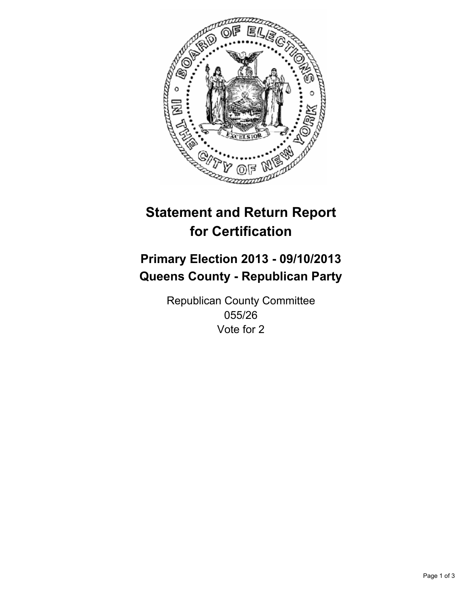

# **Statement and Return Report for Certification**

# **Primary Election 2013 - 09/10/2013 Queens County - Republican Party**

Republican County Committee 055/26 Vote for 2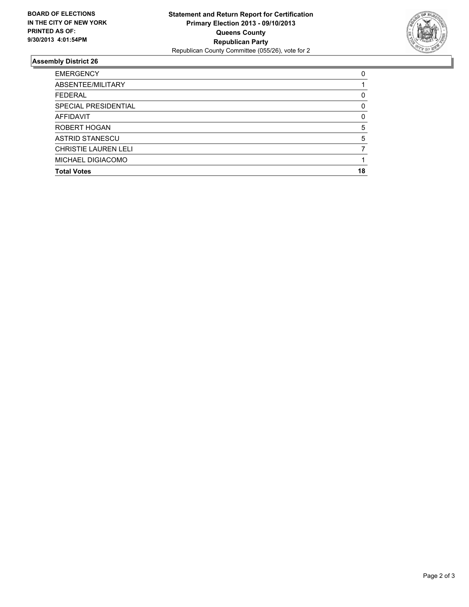

## **Assembly District 26**

| ABSENTEE/MILITARY           |          |
|-----------------------------|----------|
| <b>FEDERAL</b>              | 0        |
| SPECIAL PRESIDENTIAL        | 0        |
| AFFIDAVIT                   | $\Omega$ |
| ROBERT HOGAN                | 5        |
| <b>ASTRID STANESCU</b>      | 5        |
| <b>CHRISTIE LAUREN LELI</b> |          |
| <b>MICHAEL DIGIACOMO</b>    |          |
| <b>Total Votes</b>          | 18       |